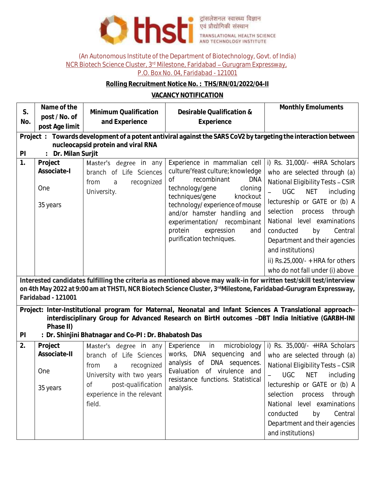

(An Autonomous Institute of the Department of Biotechnology, Govt. of India)

NCR Biotech Science Cluster, 3<sup>rd</sup> Milestone, Faridabad - Gurugram Expressway,

## P.O. Box No. 04, Faridabad - 121001

## **Rolling Recruitment Notice No. : THS/RN/01/2022/04-II**

## **VACANCY NOTIFICATION**

| S.<br>No.                                                                                                                                                                                                                                                                                 | Name of the<br>post / No. of<br>post Age limit                                                                | Minimum Qualification<br>and Experience                                                                                                                                       | Desirable Qualification &<br>Experience                                                                                                                                                                                                                                                                                       | Monthly Emoluments                                                                                                                                                                                                                                                                                                                                                                                           |  |  |  |  |  |
|-------------------------------------------------------------------------------------------------------------------------------------------------------------------------------------------------------------------------------------------------------------------------------------------|---------------------------------------------------------------------------------------------------------------|-------------------------------------------------------------------------------------------------------------------------------------------------------------------------------|-------------------------------------------------------------------------------------------------------------------------------------------------------------------------------------------------------------------------------------------------------------------------------------------------------------------------------|--------------------------------------------------------------------------------------------------------------------------------------------------------------------------------------------------------------------------------------------------------------------------------------------------------------------------------------------------------------------------------------------------------------|--|--|--|--|--|
|                                                                                                                                                                                                                                                                                           | Project: Towards development of a potent antiviral against the SARS CoV2 by targeting the interaction between |                                                                                                                                                                               |                                                                                                                                                                                                                                                                                                                               |                                                                                                                                                                                                                                                                                                                                                                                                              |  |  |  |  |  |
| nucleocapsid protein and viral RNA<br>Dr. Milan Surjit<br>P                                                                                                                                                                                                                               |                                                                                                               |                                                                                                                                                                               |                                                                                                                                                                                                                                                                                                                               |                                                                                                                                                                                                                                                                                                                                                                                                              |  |  |  |  |  |
| 1.                                                                                                                                                                                                                                                                                        | Project<br>Associate-I<br>One<br>35 years                                                                     | Master's degree in any<br>branch of Life Sciences<br>recognized<br>from<br>a<br>University.                                                                                   | Experience in mammalian cell<br>culture/Yeast culture; knowledge<br>recombinant<br><b>DNA</b><br>Οf<br>technology/gene<br>cloning<br>techniques/gene<br>knockout<br>technology/experience of mouse<br>and/or hamster handling and<br>experimentation/ recombinant<br>protein<br>expression<br>and<br>purification techniques. | i) Rs. $31,000/-$ +HRA Scholars<br>who are selected through (a)<br>National Eligibility Tests - CSIR<br><b>UGC</b><br><b>NET</b><br>including<br>lectureship or GATE or (b) A<br>selection<br>through<br>process<br>National level examinations<br>conducted<br>Central<br>by<br>Department and their agencies<br>and institutions)<br>ii) $Rs.25,000/- + HRA$ for others<br>who do not fall under (i) above |  |  |  |  |  |
| Interested candidates fulfilling the criteria as mentioned above may walk-in for written test/skill test/interview<br>on 4th May 2022 at 9:00 am at THSTI, NCR Biotech Science Cluster, 3rdMilestone, Faridabad-Gurugram Expressway,<br>Faridabad - 121001                                |                                                                                                               |                                                                                                                                                                               |                                                                                                                                                                                                                                                                                                                               |                                                                                                                                                                                                                                                                                                                                                                                                              |  |  |  |  |  |
| Project: Inter-Institutional program for Maternal, Neonatal and Infant Sciences A Translational approach-<br>interdisciplinary Group for Advanced Research on BirtH outcomes -DBT India Initiative (GARBH-INI<br>Phase II)<br>PI<br>: Dr. Shinjini Bhatnagar and Co-PI: Dr. Bhabatosh Das |                                                                                                               |                                                                                                                                                                               |                                                                                                                                                                                                                                                                                                                               |                                                                                                                                                                                                                                                                                                                                                                                                              |  |  |  |  |  |
| 2.                                                                                                                                                                                                                                                                                        | Project<br>Associate-II<br><b>One</b><br>35 years                                                             | Master's degree in any<br>branch of Life Sciences<br>recognized<br>a<br>from<br>University with two years<br>post-qualification<br>Οf<br>experience in the relevant<br>field. | Experience<br>microbiology<br>in<br>works, DNA sequencing and<br>analysis<br>0f<br>DNA sequences.<br>Evaluation of virulence and<br>resistance functions. Statistical<br>analysis.                                                                                                                                            | i) Rs. $35,000/-$ +HRA Scholars<br>who are selected through (a)<br>National Eligibility Tests - CSIR<br>- UGC NET including<br>lectureship or GATE or (b) A<br>selection process<br>through<br>National level examinations<br>conducted<br>Central<br>by<br>Department and their agencies<br>and institutions)                                                                                               |  |  |  |  |  |